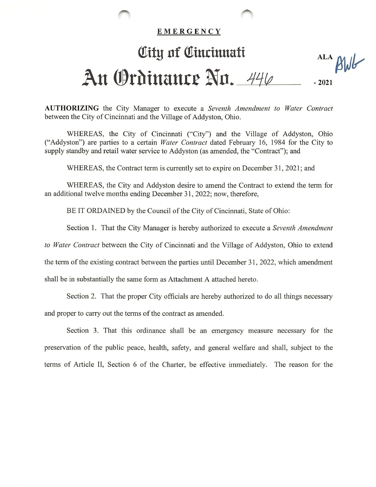## EMERGENCY

## City of Cincinnati An Ordinance No. 446 ALA Blub -2021

AUTHORIZING the City Manager to execute a Seventh Amendment to Water Contract between the City of Cincinnati and the Village of Addyston, Ohio.

WHEREAS, the City of Cincinnati ("City") and the Village of Addyston, Ohio ("Addyston") are parties to a certain Water Contract dated February 16, 1984 for the City to supply standby and retail water service to Addyston (as amended, the "Contract"); and

WHEREAS, the Contract term is currently set to expire on December 31, 2021; and

WHEREAS, the City and Addyston desire to amend the Contract to extend the term for an additional twelve months ending December 31, 2022; now, therefore,

BE IT ORDAINED by the Council of the City of Cincinnati, State of Ohio:

Section 1. That the City Manager is hereby authorized to execute a Seventh Amendment

to Water Contract between the City of Cincinnati and the Village of Addyston, Ohio to extend

the term of the existing contract between the parties until December 31, 2022, which amendment

shall be in substantially the same form as Attachment A attached hereto.

Section 2. That the proper City officials are hereby authorized to do all things necessary and proper to carry out the terms of the contract as amended.

Section 3. That this ordinance shall be an emergency measure necessary for the preservation of the public peace, health, safety, and general welfare and shall, subject to the terms of Article II, Section 6 of the Charter, be effective immediately. The reason for the